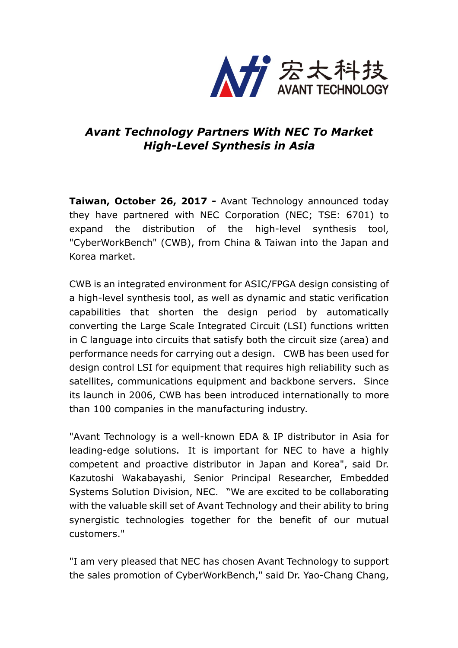

## *Avant Technology Partners With NEC To Market High-Level Synthesis in Asia*

**Taiwan, October 26, 2017 -** Avant Technology announced today they have partnered with NEC Corporation (NEC; TSE: 6701) to expand the distribution of the high-level synthesis tool, "CyberWorkBench" (CWB), from China & Taiwan into the Japan and Korea market.

CWB is an integrated environment for ASIC/FPGA design consisting of a high-level synthesis tool, as well as dynamic and static verification capabilities that shorten the design period by automatically converting the Large Scale Integrated Circuit (LSI) functions written in C language into circuits that satisfy both the circuit size (area) and performance needs for carrying out a design. CWB has been used for design control LSI for equipment that requires high reliability such as satellites, communications equipment and backbone servers. Since its launch in 2006, CWB has been introduced internationally to more than 100 companies in the manufacturing industry.

"Avant Technology is a well-known EDA & IP distributor in Asia for leading-edge solutions. It is important for NEC to have a highly competent and proactive distributor in Japan and Korea", said Dr. Kazutoshi Wakabayashi, Senior Principal Researcher, Embedded Systems Solution Division, NEC. "We are excited to be collaborating with the valuable skill set of Avant Technology and their ability to bring synergistic technologies together for the benefit of our mutual customers."

"I am very pleased that NEC has chosen Avant Technology to support the sales promotion of CyberWorkBench," said Dr. Yao-Chang Chang,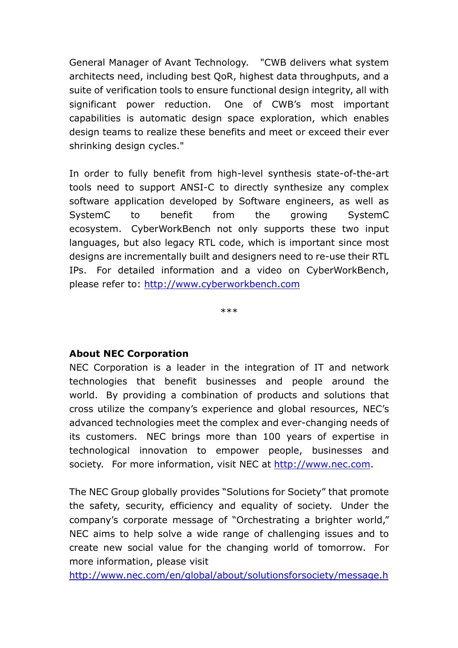General Manager of Avant Technology. "CWB delivers what system architects need, including best QoR, highest data throughputs, and a suite of verification tools to ensure functional design integrity, all with significant power reduction. One of CWB's most important capabilities is automatic design space exploration, which enables design teams to realize these benefits and meet or exceed their ever shrinking design cycles."

In order to fully benefit from high-level synthesis state-of-the-art tools need to support ANSI-C to directly synthesize any complex software application developed by Software engineers, as well as SystemC to benefit from the growing SystemC ecosystem. CyberWorkBench not only supports these two input languages, but also legacy RTL code, which is important since most designs are incrementally built and designers need to re-use their RTL IPs. For detailed information and a video on CyberWorkBench, please refer to: http://www.cyberworkbench.com

\*\*\*

## **About NEC Corporation**

NEC Corporation is a leader in the integration of IT and network technologies that benefit businesses and people around the world. By providing a combination of products and solutions that cross utilize the company's experience and global resources, NEC's advanced technologies meet the complex and ever-changing needs of its customers. NEC brings more than 100 years of expertise in technological innovation to empower people, businesses and society. For more information, visit NEC at http://www.nec.com.

The NEC Group globally provides "Solutions for Society" that promote the safety, security, efficiency and equality of society. Under the company's corporate message of "Orchestrating a brighter world," NEC aims to help solve a wide range of challenging issues and to create new social value for the changing world of tomorrow. For more information, please visit

http://www.nec.com/en/global/about/solutionsforsociety/message.h